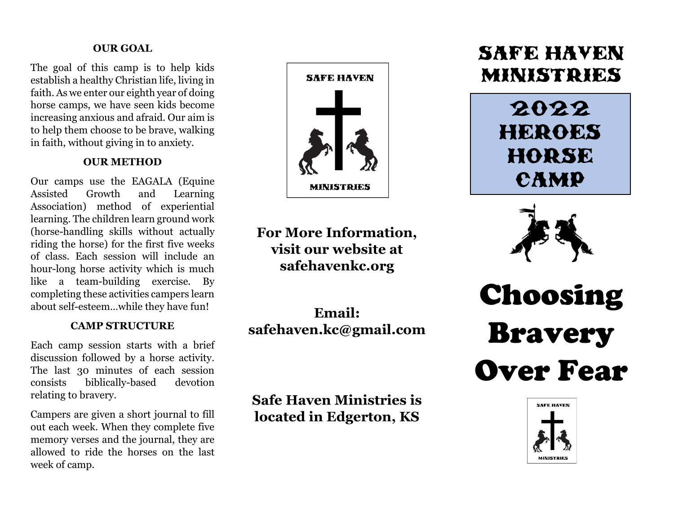#### **OUR GOAL**

The goal of this camp is to help kids establish a healthy Christian life, living in faith. As we enter our eighth year of doing horse camps, we have seen kids become increasing anxious and afraid. Our aim is to help them choose to be brave, walking in faith, without giving in to anxiety.

### **OUR METHOD**

Our camps use the EAGALA (Equine Assisted Growth and Learning Association) method of experiential learning. The children learn ground work (horse-handling skills without actually riding the horse) for the first five weeks of class. Each session will include an hour-long horse activity which is much like a team-building exercise. By completing these activities campers learn about self-esteem…while they have fun!

#### **CAMP STRUCTURE**

Each camp session starts with a brief discussion followed by a horse activity. The last 30 minutes of each session consists biblically-based devotion relating to bravery.

Campers are given a short journal to fill out each week. When they complete five memory verses and the journal, they are allowed to ride the horses on the last week of camp.



**For More Information, visit our website at safehavenkc.org**

**Email: [safehaven.kc@gmail.com](mailto:safehaven.kc@gmail.com)** 

**Safe Haven Ministries is located in Edgerton, KS**

# safe haven ministries

2022 HEROES horse camp



Choosing Bravery Over Fear